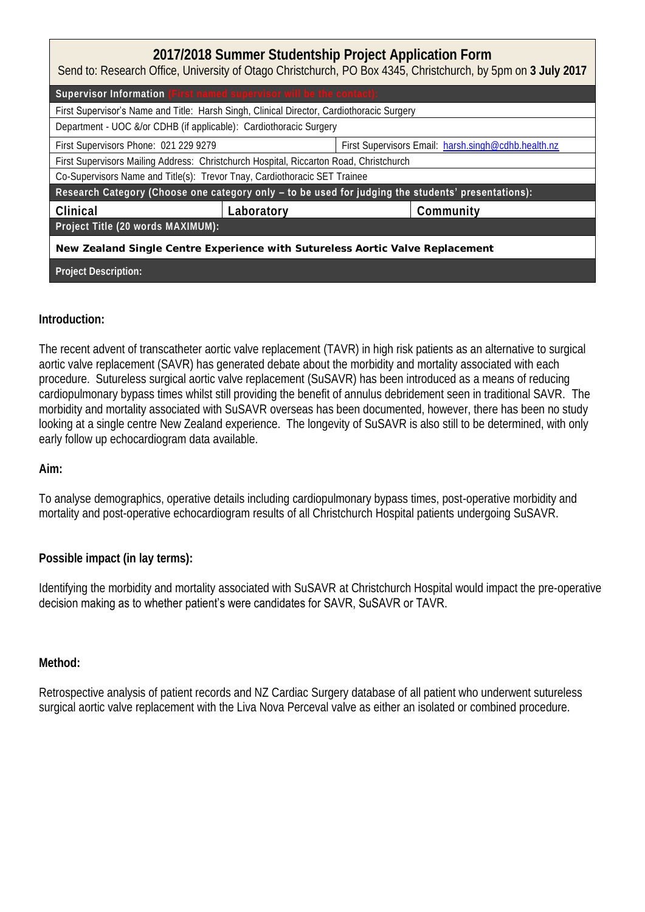| 2017/2018 Summer Studentship Project Application Form<br>Send to: Research Office, University of Otago Christchurch, PO Box 4345, Christchurch, by 5pm on 3 July 2017 |                                                     |  |  |  |
|-----------------------------------------------------------------------------------------------------------------------------------------------------------------------|-----------------------------------------------------|--|--|--|
| Supervisor Information (First named supervisor will be the contact):                                                                                                  |                                                     |  |  |  |
| First Supervisor's Name and Title: Harsh Singh, Clinical Director, Cardiothoracic Surgery                                                                             |                                                     |  |  |  |
| Department - UOC &/or CDHB (if applicable): Cardiothoracic Surgery                                                                                                    |                                                     |  |  |  |
| First Supervisors Phone: 021 229 9279                                                                                                                                 | First Supervisors Email: harsh.singh@cdhb.health.nz |  |  |  |
| First Supervisors Mailing Address: Christchurch Hospital, Riccarton Road, Christchurch                                                                                |                                                     |  |  |  |
| Co-Supervisors Name and Title(s): Trevor Tnay, Cardiothoracic SET Trainee                                                                                             |                                                     |  |  |  |
| Research Category (Choose one category only - to be used for judging the students' presentations):                                                                    |                                                     |  |  |  |
| Clinical<br>Laboratory                                                                                                                                                | Community                                           |  |  |  |
| Project Title (20 words MAXIMUM):                                                                                                                                     |                                                     |  |  |  |
| New Zealand Single Centre Experience with Sutureless Aortic Valve Replacement                                                                                         |                                                     |  |  |  |
| Project Description:                                                                                                                                                  |                                                     |  |  |  |

## **Introduction:**

cardiopulmonary bypass times whilst still providing the benefit of annulus debridement seen in traditional SAVR. The morbidity and mortality associated with SuSAVR overseas has been documented, however, there has been no study The recent advent of transcatheter aortic valve replacement (TAVR) in high risk patients as an alternative to surgical aortic valve replacement (SAVR) has generated debate about the morbidity and mortality associated with each procedure. Sutureless surgical aortic valve replacement (SuSAVR) has been introduced as a means of reducing looking at a single centre New Zealand experience. The longevity of SuSAVR is also still to be determined, with only early follow up echocardiogram data available.

**Aim:** 

To analyse demographics, operative details including cardiopulmonary bypass times, post-operative morbidity and mortality and post-operative echocardiogram results of all Christchurch Hospital patients undergoing SuSAVR.

**Possible impact (in lay terms):** 

Identifying the morbidity and mortality associated with SuSAVR at Christchurch Hospital would impact the pre-operative decision making as to whether patient's were candidates for SAVR, SuSAVR or TAVR.

**Method:** 

Retrospective analysis of patient records and NZ Cardiac Surgery database of all patient who underwent sutureless surgical aortic valve replacement with the Liva Nova Perceval valve as either an isolated or combined procedure.